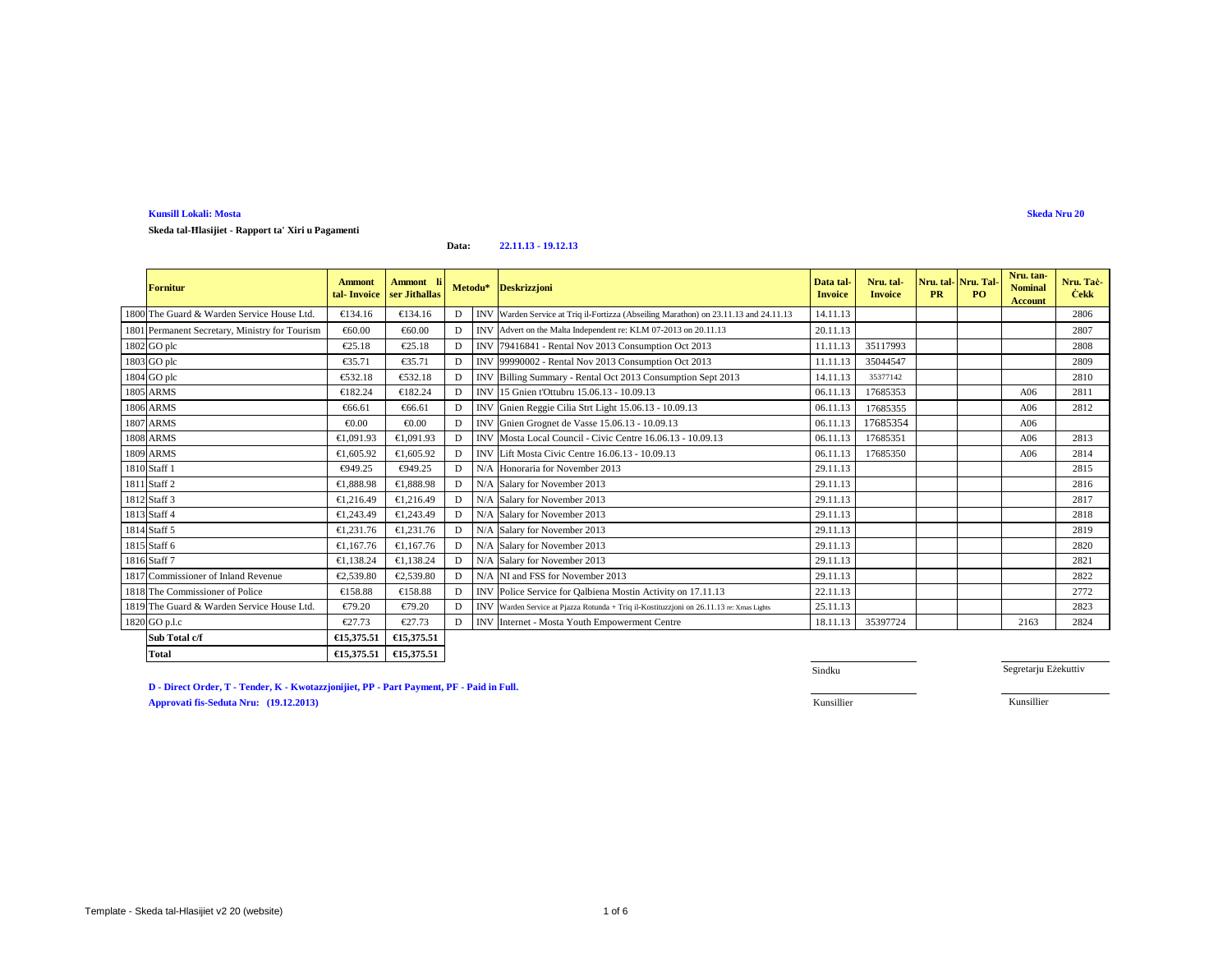**Skeda tal-Ħlasijiet - Rapport ta' Xiri u Pagamenti**

#### **Data:22.11.13 - 19.12.13**

| <b>Fornitur</b>                                | <b>Ammont</b><br>tal-Invoice | Ammont li<br>ser Jithallas |   |            | Metodu* Deskrizzjoni                                                                     | Data tal<br><b>Invoice</b> | Nru. tal-<br><b>Invoice</b> | Nru. tal-<br><b>PR</b> | Nru. Tal-<br>PO. | Nru. tan-<br><b>Nominal</b><br><b>Account</b> | Nru. Tac-<br><b>Cekk</b> |
|------------------------------------------------|------------------------------|----------------------------|---|------------|------------------------------------------------------------------------------------------|----------------------------|-----------------------------|------------------------|------------------|-----------------------------------------------|--------------------------|
| 1800 The Guard & Warden Service House Ltd.     | €134.16                      | €13.16                     | D |            | INV Warden Service at Triq il-Fortizza (Abseiling Marathon) on 23.11.13 and 24.11.13     | 14.11.13                   |                             |                        |                  |                                               | 2806                     |
| 1801 Permanent Secretary, Ministry for Tourism | €60.00                       | €60.00                     | D |            | INV Advert on the Malta Independent re: KLM 07-2013 on 20.11.13                          | 20.11.13                   |                             |                        |                  |                                               | 2807                     |
| 1802 GO plc                                    | €25.18                       | €25.18                     | D |            | INV 79416841 - Rental Nov 2013 Consumption Oct 2013                                      | 11.11.13                   | 35117993                    |                        |                  |                                               | 2808                     |
| 1803 GO plc                                    | €35.71                       | €35.71                     | D |            | INV 99990002 - Rental Nov 2013 Consumption Oct 2013                                      | 11.11.13                   | 35044547                    |                        |                  |                                               | 2809                     |
| 1804 GO plc                                    | €532.18                      | €532.18                    | D | <b>INV</b> | Billing Summary - Rental Oct 2013Consumption Sept 2013                                   | 14.11.13                   | 35377142                    |                        |                  |                                               | 2810                     |
| <b>1805 ARMS</b>                               | €182.24                      | €182.24                    | D | <b>INV</b> | 15 Gnien t'Ottubru 15.06.13 - 1009.13                                                    | 06.11.13                   | 17685353                    |                        |                  | A06                                           | 2811                     |
| <b>1806 ARMS</b>                               | €66.61                       | €66.61                     | D |            | Gnien Reggie Cilia Strt Light 15.0613 - 10.09.13                                         | 06.11.13                   | 17685355                    |                        |                  | A06                                           | 2812                     |
| <b>1807 ARMS</b>                               | $\epsilon$ 0.00              | € $0.00$                   | D |            | INV Gnien Grognet de Vasse 15.06.13 - 1009.13                                            | 06.11.13                   | 17685354                    |                        |                  | A06                                           |                          |
| <b>1808 ARMS</b>                               | €1.091.93                    | €1.091.93                  | D |            | INV Mosta Local Council - Civic Centre 16.06.13 - 10.09.13                               | 06.11.13                   | 17685351                    |                        |                  | A06                                           | 2813                     |
| <b>1809 ARMS</b>                               | €1,605.92                    | €1,605.92                  | D | <b>INV</b> | Lift Mosta Civic Centre 16.0613 - 10.09.13                                               | 06.11.13                   | 17685350                    |                        |                  | A06                                           | 2814                     |
| 1810 Staff 1                                   | €949.25                      | €949.25                    | D | N/A        | Honoraria for November 2013                                                              | 29.11.13                   |                             |                        |                  |                                               | 2815                     |
| 1811 Staff 2                                   | €1.888.98                    | €1.888.98                  | D |            | N/A Salary for November 2013                                                             | 29.11.13                   |                             |                        |                  |                                               | 2816                     |
| 1812 Staff 3                                   | €1,216.49                    | €1,216.49                  | D |            | N/A Salary for November 2013                                                             | 29.11.13                   |                             |                        |                  |                                               | 2817                     |
| 1813 Staff 4                                   | €1,243.49                    | €1,243.49                  | D |            | N/A Salary for November 2013                                                             | 29.11.13                   |                             |                        |                  |                                               | 2818                     |
| 1814 Staff 5                                   | €1,231.76                    | €1,231.76                  | D |            | N/A Salary for November 2013                                                             | 29.11.13                   |                             |                        |                  |                                               | 2819                     |
| 1815 Staff 6                                   | €1.167.76                    | €1.167.76                  | D |            | N/A Salary for November 2013                                                             | 29.11.13                   |                             |                        |                  |                                               | 2820                     |
| 1816 Staff 7                                   | €1,138.24                    | €1,138.24                  | D |            | N/A Salary for November 2013                                                             | 29.11.13                   |                             |                        |                  |                                               | 2821                     |
| 1817 Commissioner of Inland Revenue            | €2,539.80                    | €2,539.8                   | D |            | N/A NI and FSS for November 2013                                                         | 29.11.13                   |                             |                        |                  |                                               | 2822                     |
| 1818 The Commissioner of Police                | €158.88                      | €158.88                    | D |            | INV Poice Service for Qalbiena Mostin Activity on 17.11.13                               | 22.11.13                   |                             |                        |                  |                                               | 2772                     |
| 1819 The Guard & Warden Service House Ltd.     | €79.20                       | €7920                      | D |            | INV Warden Service at Pjazza Rotunda + Triq il-Kostituzzjoni on 26.11.13 re: Xmas Lights | 25.11.13                   |                             |                        |                  |                                               | 2823                     |
| 1820 GO p.l.c                                  | €27.73                       | €27.73                     | D |            | INV Internet - Mosta Youth EmpowermenCentre                                              | 18.11.13                   | 35397724                    |                        |                  | 2163                                          | 2824                     |
| Sub Total c/f                                  | €15,375.51                   | €15,375.51                 |   |            |                                                                                          |                            |                             |                        |                  |                                               |                          |

 **€15,375.51 €15,375.51Total**

Sindku

Segretarju Eżekuttiv

**D - Direct Order, T - Tender, K - Kwotazzjonijiet, PP - Part Payment, PF - Paid in Full. Approvati fis-Seduta Nru: (19.12.2013)**Kunsillier Kunsillier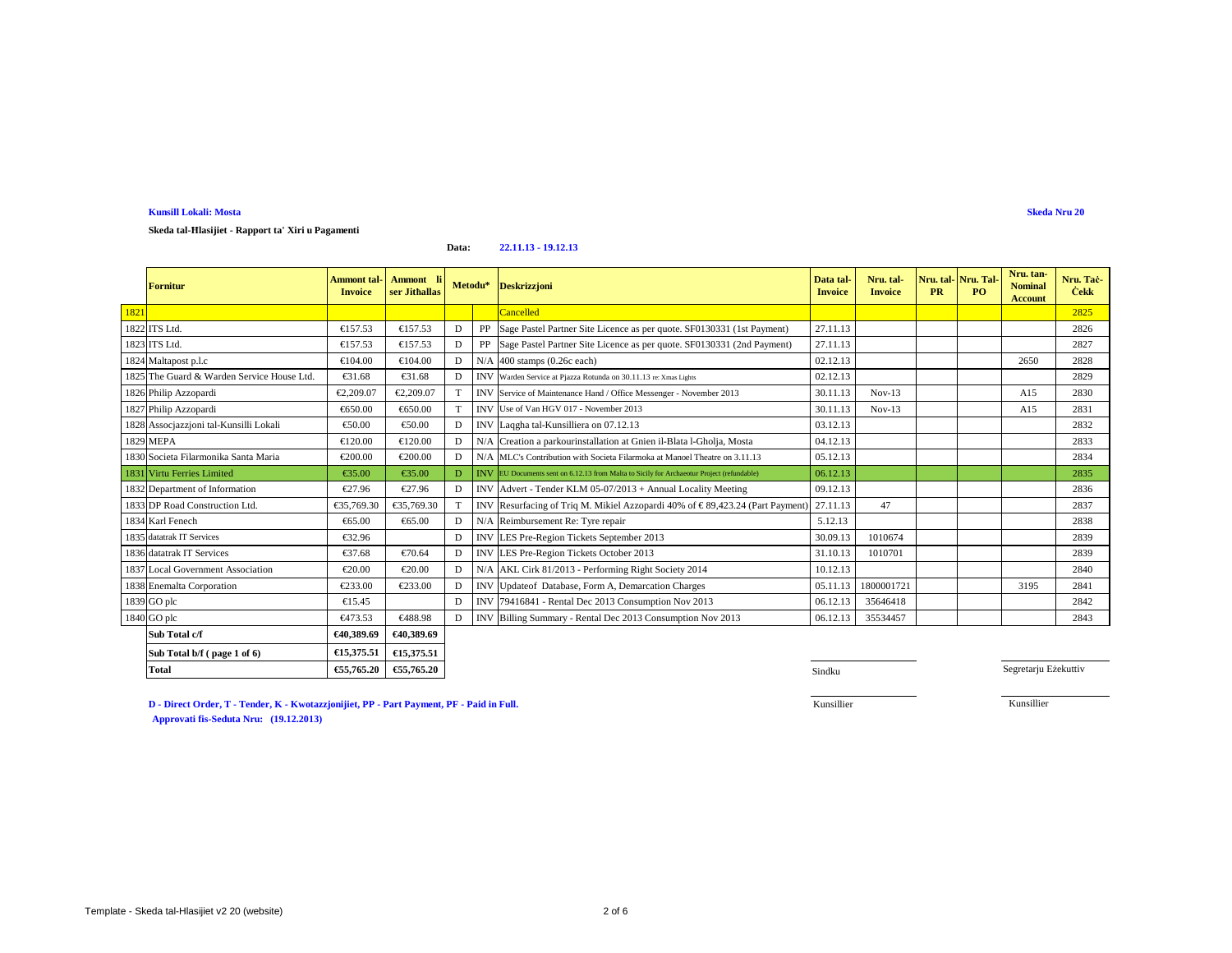**Skeda tal-Ħlasijiet - Rapport ta' Xiri u Pagamenti**

#### **Data:22.11.13 - 19.12.13**

|      | <b>Fornitur</b>                            | Ammont tal-<br><b>Invoice</b> | <b>Ammont</b><br>ser Jithallas |              | Metodu* Deskrizzjoni                                                                            | Data tal<br><b>Invoice</b> | Nru. tal-<br><b>Invoice</b> | PR | Nru. tal-Nru. Tal<br>PO. | Nru. tan-<br><b>Nominal</b><br><b>Account</b> | Nru. Tac-<br><b>Čekk</b> |
|------|--------------------------------------------|-------------------------------|--------------------------------|--------------|-------------------------------------------------------------------------------------------------|----------------------------|-----------------------------|----|--------------------------|-----------------------------------------------|--------------------------|
| 1821 |                                            |                               |                                |              | Cancelled                                                                                       |                            |                             |    |                          |                                               | 2825                     |
|      | 1822 ITS Ltd.                              | €157.53                       | €157.53                        | D            | PP   Sage Pastel Partner Sie Licence as per quote. SF0130331 (1st Payment)                      | 27.11.13                   |                             |    |                          |                                               | 2826                     |
|      | 1823 ITS Ltd.                              | €157.53                       | €157.53                        | D            | PP Sage Pastel Partner Sie Licence as per quote. SF0130331 (2nd Payment)                        | 27.11.13                   |                             |    |                          |                                               | 2827                     |
|      | 1824 Maltapost p.l.c                       | €104.00                       | €104.00                        | $\mathbf{D}$ | $N/A$ 400 stamps ( $Q6c$ each)                                                                  | 02.12.13                   |                             |    |                          | 2650                                          | 2828                     |
|      | 1825 The Guard & Warden Service House Ltd. | €31.68                        | €3168                          | D            | INV Warden Service at Pjazza Rotunda on 30.11.13 re: Xmas Lights                                | 02.12.13                   |                             |    |                          |                                               | 2829                     |
|      | 1826 Philip Azzopardi                      | €2,209.07                     | €2,209.07                      |              | INVIService of Maintenance Hand / Office Messenger - November 2013                              | 30.11.13                   | $Nov-13$                    |    |                          | A15                                           | 2830                     |
|      | 1827 Philip Azzopardi                      | €650.00                       | €650.00                        |              | INVUse of Van HGV 017 - November 2013                                                           | 30.11.13                   | $Nov-13$                    |    |                          | A15                                           | 2831                     |
|      | 1828 Assocjazzjoni tal-Kunsilli Lokali     | €50.00                        | €50.00                         | D            | INV Laqgha tal-Kunsilliera on 07.12.13                                                          | 03.12.13                   |                             |    |                          |                                               | 2832                     |
|      | 1829 MEPA                                  | €120.00                       | €120.00                        | D            | N/A Creation a parkourinstallation aGnien il-Blata l-Gholja, Mosta                              | 04.12.13                   |                             |    |                          |                                               | 2833                     |
|      | 1830 Societa Filarmonika Santa Maria       | €200.00                       | €200.00                        | D            | NA MLC's Contribution with Societa Filarmoka at Manoel Theatre on 3.11.13                       | 05.12.13                   |                             |    |                          |                                               | 2834                     |
|      | 1831 Virtu Ferries Limited                 | €35.00                        | €35.00                         |              | <b>INVEU</b> Documents sent on 6.12.13 from Malta to Sicily for Archaeotur Project (refundable) | 06.12.13                   |                             |    |                          |                                               | 2835                     |
|      | 1832 Department of Information             | €27.96                        | €27.96                         | D            | INV Advert Tender KLM 05-07/2013 + Annual Locality Meeting                                      | 09.12.13                   |                             |    |                          |                                               | 2836                     |
|      | 1833 DP Road Construction Ltd.             | €35,769.30                    | €35,769.30                     |              | INV Resurfacing of Triq M. Mikiel Azzopardi 40% of €89,423.24 (Part Payment)                    | 27.11.13                   | 47                          |    |                          |                                               | 2837                     |
|      | 1834 Karl Fenech                           | €65.00                        | €65.00                         | D            | N/A Reimbursement Re: Tre repair                                                                | 5.12.13                    |                             |    |                          |                                               | 2838                     |
|      | 1835 datatrak IT Services                  | €32.96                        |                                | D            | INV LES Pre-Region Tickets September 2013                                                       | 30.09.13                   | 1010674                     |    |                          |                                               | 2839                     |
|      | 1836 datatrak IT Services                  | €37.68                        | €70.64                         | D            | INV LES Pre-Regon Tickets October 2013                                                          | 31.10.13                   | 1010701                     |    |                          |                                               | 2839                     |
|      | 1837 Local Government Association          | €20.00                        | €20.00                         | D            | N/A AKICirk 81/2013 - Performing Right Society 2014                                             | 10.12.13                   |                             |    |                          |                                               | 2840                     |
|      | 1838 Enemalta Corporation                  | €233.00                       | €233.00                        |              | INV UpdateofDatabase, Form A, Demarcation Charges                                               | 05.11.13                   | 1800001721                  |    |                          | 3195                                          | 2841                     |
|      | 1839 GO plc                                | €15.45                        |                                | D            | INV 79416841 - Rental Dec 2013 Consumption Nov 2013                                             | 06.12.13                   | 35646418                    |    |                          |                                               | 2842                     |
|      | 1840 GO plc                                | €473.53                       | €488.98                        | D            | INV Billing Summary - Rental Dec 2013Consumption Nov 2013                                       | 06.12.13                   | 35534457                    |    |                          |                                               | 2843                     |
|      | Sub Total c/f                              | €40,389.69                    | €40,389.69                     |              |                                                                                                 |                            |                             |    |                          |                                               |                          |

|                             | -------- |                                 |
|-----------------------------|----------|---------------------------------|
| Sub Total b/f (page 1 of 6) |          | $\in$ 15,375.51 $\in$ 15,375.51 |
| <b>Total</b>                |          | €55,765.20 €55,765.20           |

**D - Direct Order, T - Tender, K - Kwotazzjonijiet, PP - Part Payment, PF - Paid in Full.**

**0** Sindku

Segretarju Eżekuttiv

Kunsillier

Kunsillier

 **Approvati fis-Seduta Nru:** (19.12.2013)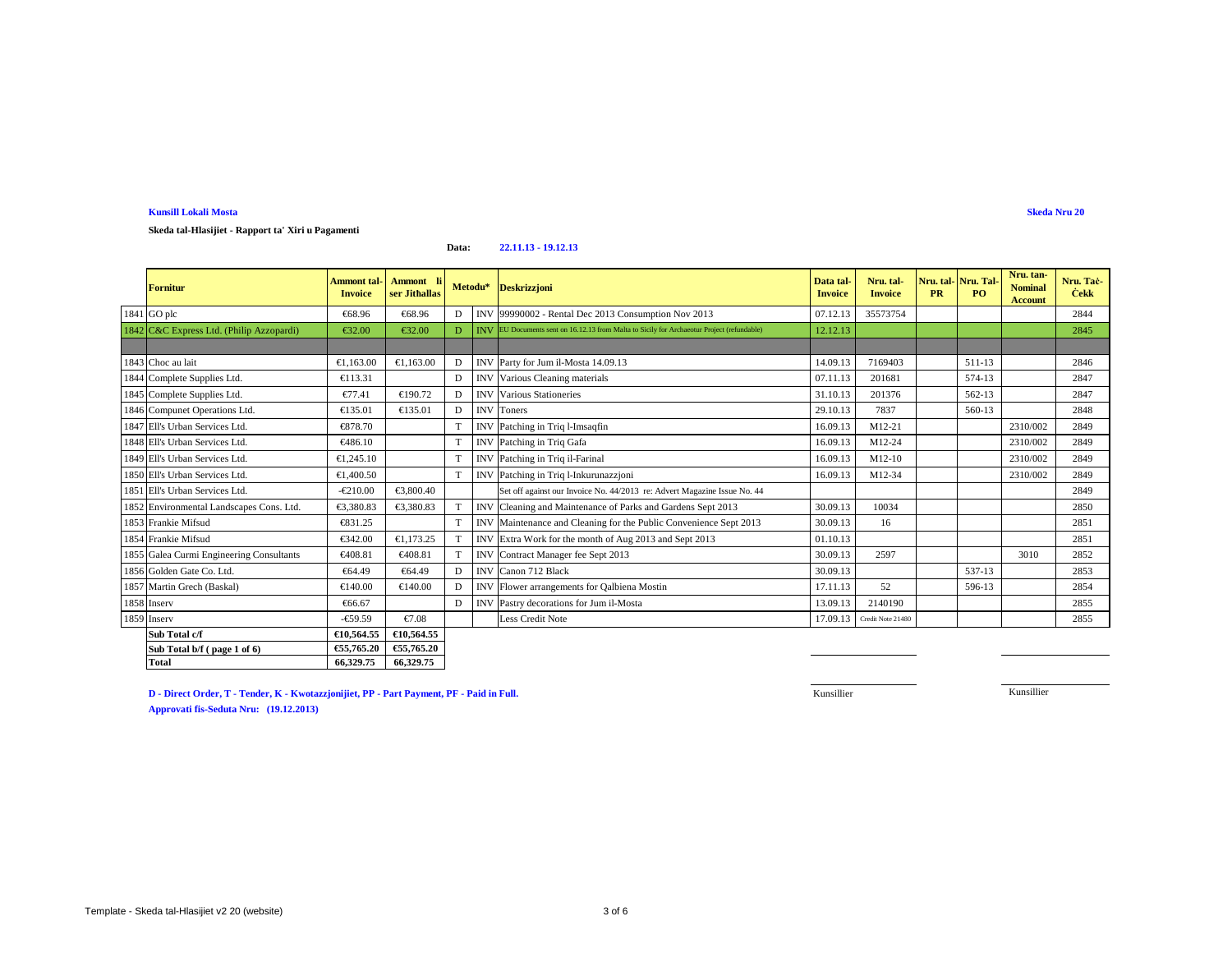**Skeda tal-Hlasijiet - Rapport ta' Xiri u Pagamenti**

### **Data:22.11.13 - 19.12.13**

| <b>Fornitur</b>                          | <b>Ammont</b> tal-<br><b>Invoice</b> | Ammont li<br>ser Jithallas |   | Metodu*    | <b>Deskrizzjoni</b>                                                                               | Data tal-<br><b>Invoice</b> | Nru. tal-<br><b>Invoice</b> | Nru. tal-Nru. Tal-<br><b>PR</b> | PO.    | Nru. tan-<br><b>Nominal</b><br><b>Account</b> | Nru. Tac-<br><b>Čekk</b> |
|------------------------------------------|--------------------------------------|----------------------------|---|------------|---------------------------------------------------------------------------------------------------|-----------------------------|-----------------------------|---------------------------------|--------|-----------------------------------------------|--------------------------|
| 1841 GO plc                              | €68.96                               | €68.96                     | D | <b>INV</b> | 99990002 - Rental Dec 2013 Consumption Nov 2013                                                   | 07.12.13                    | 35573754                    |                                 |        |                                               | 2844                     |
| 1842 C&C Express Ltd. (Philip Azzopardi) | €32.00                               | €32.00                     | D |            | <b>INV</b> EU Documents sent on 16.12.13 from Malta to Sicily for Archaeotur Project (refundable) | 12.12.13                    |                             |                                 |        |                                               | 2845                     |
|                                          |                                      |                            |   |            |                                                                                                   |                             |                             |                                 |        |                                               |                          |
| 1843 Choc au lait                        | €1.163.00                            | €1.163.00                  | D | <b>INV</b> | Party for Jm il-Mosta 14.09.13                                                                    | 14.09.13                    | 7169403                     |                                 | 511-13 |                                               | 2846                     |
| 1844 Complete Supplies Ltd.              | €113.31                              |                            | D | <b>INV</b> | Various Cleaning materials                                                                        | 07.11.13                    | 201681                      |                                 | 574-13 |                                               | 2847                     |
| 1845 Complete Supplies Ltd.              | €77.41                               | €190.72                    | D | <b>INV</b> | VariousStationeries                                                                               | 31.10.13                    | 201376                      |                                 | 562-13 |                                               | 2847                     |
| 1846 Compunet Operations Ltd.            | €135.01                              | €135.01                    | D | <b>INV</b> | Tones                                                                                             | 29.10.13                    | 7837                        |                                 | 560-13 |                                               | 2848                     |
| 1847 Ell's Urban Services Ltd.           | €878.70                              |                            | T | <b>INV</b> | Patching in Triq l-Imsaqfin                                                                       | 16.09.13                    | M12-21                      |                                 |        | 2310/002                                      | 2849                     |
| 1848 Ell's Urban Services Ltd.           | €486.10                              |                            |   | <b>INV</b> | Patching in Triq Gafa                                                                             | 16.09.13                    | M12-24                      |                                 |        | 2310/002                                      | 2849                     |
| 1849 Ell's Urban Services Ltd.           | €1,245,10                            |                            | T | <b>INV</b> | Patchingin Triq il-Farinal                                                                        | 16.09.13                    | M12-10                      |                                 |        | 2310/002                                      | 2849                     |
| 1850 Ell's Urban Services Ltd.           | €1,400.50                            |                            | T |            | INV Patchingin Triq l-Inkurunazzjoni                                                              | 16.09.13                    | M12-34                      |                                 |        | 2310/002                                      | 2849                     |
| 1851 Ell's Urban Services Ltd.           | $-\epsilon 210.00$                   | €3,800.40                  |   |            | Set off against our Invoice No. 44/2013 re: Advert Magazine Issue No. 44                          |                             |                             |                                 |        |                                               | 2849                     |
| 1852 Environmental Landscapes Cons. Ltd. | €3.380.83                            | €3380.83                   |   | <b>INV</b> | Cleaning and Maintenance of Parks and Gardens Sept 2013                                           | 30.09.13                    | 10034                       |                                 |        |                                               | 2850                     |
| 1853 Frankie Mifsud                      | €831.25                              |                            | T | <b>INV</b> | Maintenance and Cleaning for the Public Convenience Sept 2013                                     | 30.09.13                    | 16                          |                                 |        |                                               | 2851                     |
| 1854 Frankie Mifsud                      | €342.00                              | €1,173,25                  |   | <b>INV</b> | Extra Work fo the month of Aug 2013 and Sept 2013                                                 | 01.10.13                    |                             |                                 |        |                                               | 2851                     |
| 1855 Galea Curmi Engineering Consultants | €408.81                              | €40881                     | T | <b>INV</b> | Contract Manager fee Sept 2013                                                                    | 30.09.13                    | 2597                        |                                 |        | 3010                                          | 2852                     |
| 1856 Golden Gate Co. Ltd.                | €64.49                               | €64.49                     | D | <b>INV</b> | Canon 712 Back                                                                                    | 30.09.13                    |                             |                                 | 537-13 |                                               | 2853                     |
| 1857 Martin Grech (Baskal)               | €140.00                              | €140.00                    | D | <b>INV</b> | Flower arangements for Qalbiena Mostin                                                            | 17.11.13                    | 52                          |                                 | 596-13 |                                               | 2854                     |
| 1858 Inserv                              | €66.67                               |                            | D | <b>INV</b> | Pastry decorations for Jum il-Mosta                                                               | 13.09.13                    | 2140190                     |                                 |        |                                               | 2855                     |
| 1859 Inserv                              | $-659.59$                            | €7.08                      |   |            | Less Credit Note                                                                                  | 17.09.13                    | Credit Note 21480           |                                 |        |                                               | 2855                     |
| Sub Total c/f                            | €10,564.55                           | €10,564.55                 |   |            |                                                                                                   |                             |                             |                                 |        |                                               |                          |
| Sub Total b/f (page 1 of 6)              | €55,765.20                           | €55,765.20                 |   |            |                                                                                                   |                             |                             |                                 |        |                                               |                          |
| <b>Total</b>                             | 66,329.75                            | 66,329.75                  |   |            |                                                                                                   |                             |                             |                                 |        |                                               |                          |

**D - Direct Order, T - Tender, K - Kwotazzjonijiet, PP - Part Payment, PF - Paid in Full.Approvati fis-Seduta Nru: (19.12.2013)**

**Example 2018 Kunsillier Kunsillier Kunsillier** 

Kunsillier **Kunsillier**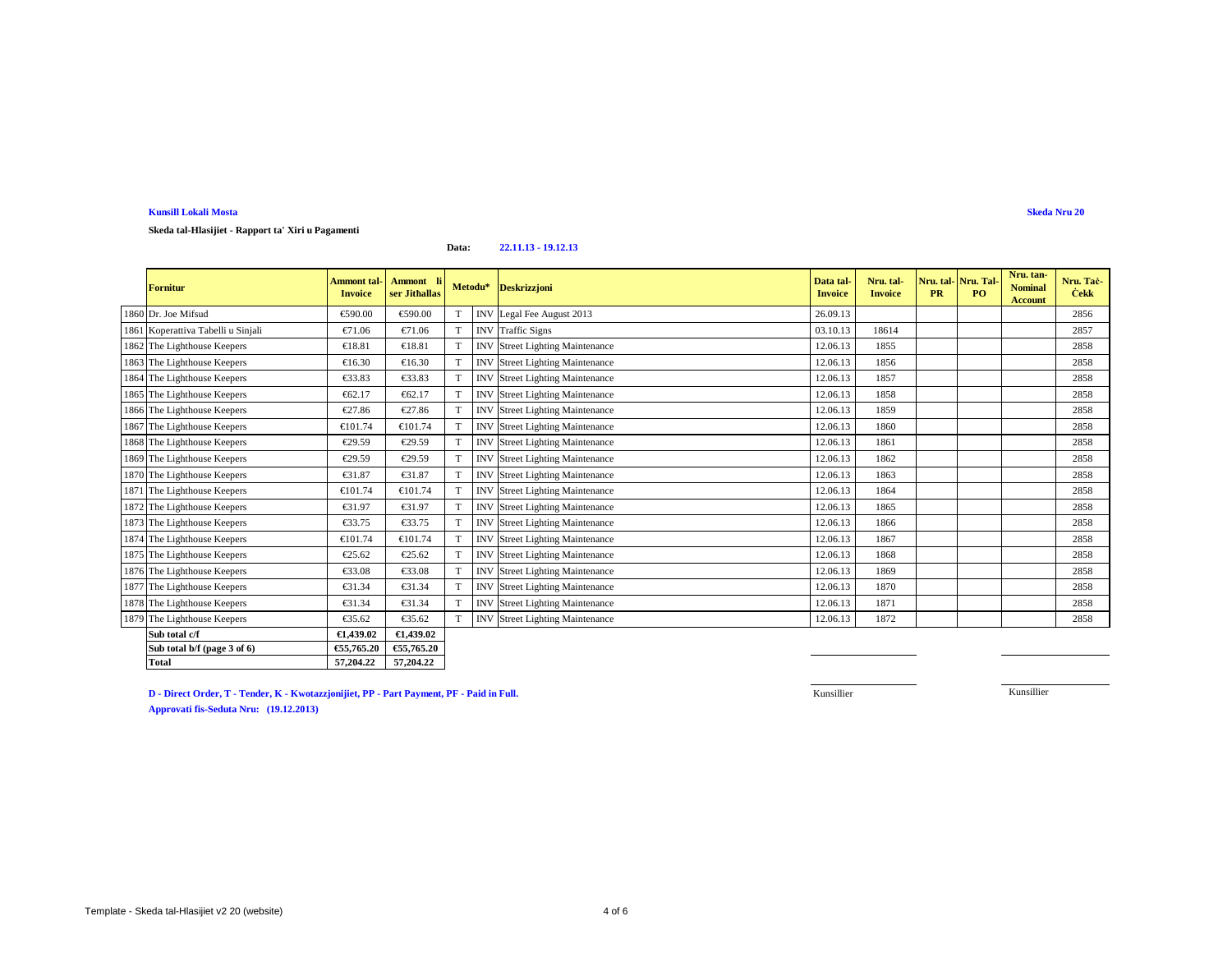**Skeda tal-Hlasijiet - Rapport ta' Xiri u Pagamenti**

### **Data:22.11.13 - 19.12.13**

| <b>Fornitur</b>                    | Ammont tal-<br><b>Invoice</b> | Ammont li<br>ser Jithallas                     |   |            | Metodu* Deskrizzjoni               | Data tal<br><b>Invoice</b> | Nru. tal-<br><b>Invoice</b> | <b>PR</b> | Nru. tal-Nru. Tal-<br>P <sub>O</sub> | Nru. tan-<br><b>Nominal</b><br><b>Account</b> | Nru. Tac-<br><b>Cekk</b> |
|------------------------------------|-------------------------------|------------------------------------------------|---|------------|------------------------------------|----------------------------|-----------------------------|-----------|--------------------------------------|-----------------------------------------------|--------------------------|
| 1860 Dr. Joe Mifsud                | €590.00                       | €590.00                                        |   |            | INV Legal Fee Augus 2013           | 26.09.13                   |                             |           |                                      |                                               | 2856                     |
| 1861 Koperattiva Tabelli u Sinjali | €71.06                        | €71.06                                         |   | <b>INV</b> | Taffic Signs                       | 03.10.13                   | 18614                       |           |                                      |                                               | 2857                     |
| 1862 The Lighthouse Keepers        | €18.81                        | €18.81                                         | T | <b>INV</b> | Street Lighting Maintenance        | 12.06.13                   | 1855                        |           |                                      |                                               | 2858                     |
| 1863 The Lighthouse Keepers        | €16.30                        | €16.30                                         |   | <b>INV</b> | Street Lighting Maintenance        | 12.06.13                   | 1856                        |           |                                      |                                               | 2858                     |
| 1864 The Lighthouse Keepers        | €33.83                        | €33.83                                         |   | <b>INV</b> | Street Lighting Maintenance        | 12.06.13                   | 1857                        |           |                                      |                                               | 2858                     |
| 1865 The Lighthouse Keepers        | €62.17                        | €62.17                                         |   | <b>INV</b> | Street Lighting Maintenance        | 12.06.13                   | 1858                        |           |                                      |                                               | 2858                     |
| 1866 The Lighthouse Keepers        | €27.86                        | €27.86                                         |   | <b>INV</b> | Street Lighting Maintenance        | 12.06.13                   | 1859                        |           |                                      |                                               | 2858                     |
| 1867 The Lighthouse Keepers        | €101.74                       | €101.74                                        |   | <b>INV</b> | StreetLighting Maintenance         | 12.06.13                   | 1860                        |           |                                      |                                               | 2858                     |
| 1868 The Lighthouse Keepers        | €29.59                        | €29.59                                         | T | <b>INV</b> | <b>Street Lighting Maintenance</b> | 12.06.13                   | 1861                        |           |                                      |                                               | 2858                     |
| 1869 The Lighthouse Keepers        | €29.59                        | €29.59                                         | T | <b>INV</b> | <b>Street Lighting Maintenance</b> | 12.06.13                   | 1862                        |           |                                      |                                               | 2858                     |
| 1870 The Lighthouse Keepers        | €31.87                        | €31.87                                         |   | <b>INV</b> | <b>Street Lighting Maintenance</b> | 12.06.13                   | 1863                        |           |                                      |                                               | 2858                     |
| 1871 The Lighthouse Keepers        | €101.74                       | €101.74                                        |   | <b>INV</b> | StreeLighting Maintenance          | 12.06.13                   | 1864                        |           |                                      |                                               | 2858                     |
| 1872 The Lighthouse Keepers        | €31.97                        | €31.97                                         |   | <b>INV</b> | <b>Street Lighting Maintenance</b> | 12.06.13                   | 1865                        |           |                                      |                                               | 2858                     |
| 1873 The Lighthouse Keepers        | €33.75                        | €33.75                                         |   | <b>INV</b> | Street Lighting Maintenance        | 12.06.13                   | 1866                        |           |                                      |                                               | 2858                     |
| 1874 The Lighthouse Keepers        | €101.74                       | €101.74                                        |   | <b>INV</b> | StreeLighting Maintenance          | 12.06.13                   | 1867                        |           |                                      |                                               | 2858                     |
| 1875 The Lighthouse Keepers        | €25.62                        | €25.62                                         |   | <b>INV</b> | Street Lighting Maintenance        | 12.06.13                   | 1868                        |           |                                      |                                               | 2858                     |
| 1876 The Lighthouse Keepers        | €33.08                        | €33.08                                         |   | <b>INV</b> | <b>Street Lighting Maintenance</b> | 12.06.13                   | 1869                        |           |                                      |                                               | 2858                     |
| 1877 The Lighthouse Keepers        | €31.34                        | €31.34                                         |   | <b>INV</b> | Street Lighting Maintenance        | 12.06.13                   | 1870                        |           |                                      |                                               | 2858                     |
| 1878 The Lighthouse Keepers        | €31.34                        | $\textcolor{red}{\textbf{\textsterling}}31.34$ |   | <b>INV</b> | <b>Street Lighting Maintenance</b> | 12.06.13                   | 1871                        |           |                                      |                                               | 2858                     |
| 1879 The Lighthouse Keepers        | €35.62                        | €35.62                                         | T | <b>INV</b> | Street Lighting Maintenance        | 12.06.13                   | 1872                        |           |                                      |                                               | 2858                     |
| Sub total c/f                      | €1,439.02                     | €1,439.02                                      |   |            |                                    |                            |                             |           |                                      |                                               |                          |
| Sub total b/f (page 3 of 6)        | €55,765.20                    | €55,765.20                                     |   |            |                                    |                            |                             |           |                                      |                                               |                          |

**D - Direct Order, T - Tender, K - Kwotazzjonijiet, PP - Part Payment, PF - Paid in Full.**

**Total 57,204.22 57,204.22**

**Example 2018 Kunsillier Kunsillier Kunsillier** 

Kunsillier **Kunsillier** 

**Approvati fis-Seduta Nru: (19.12.2013)**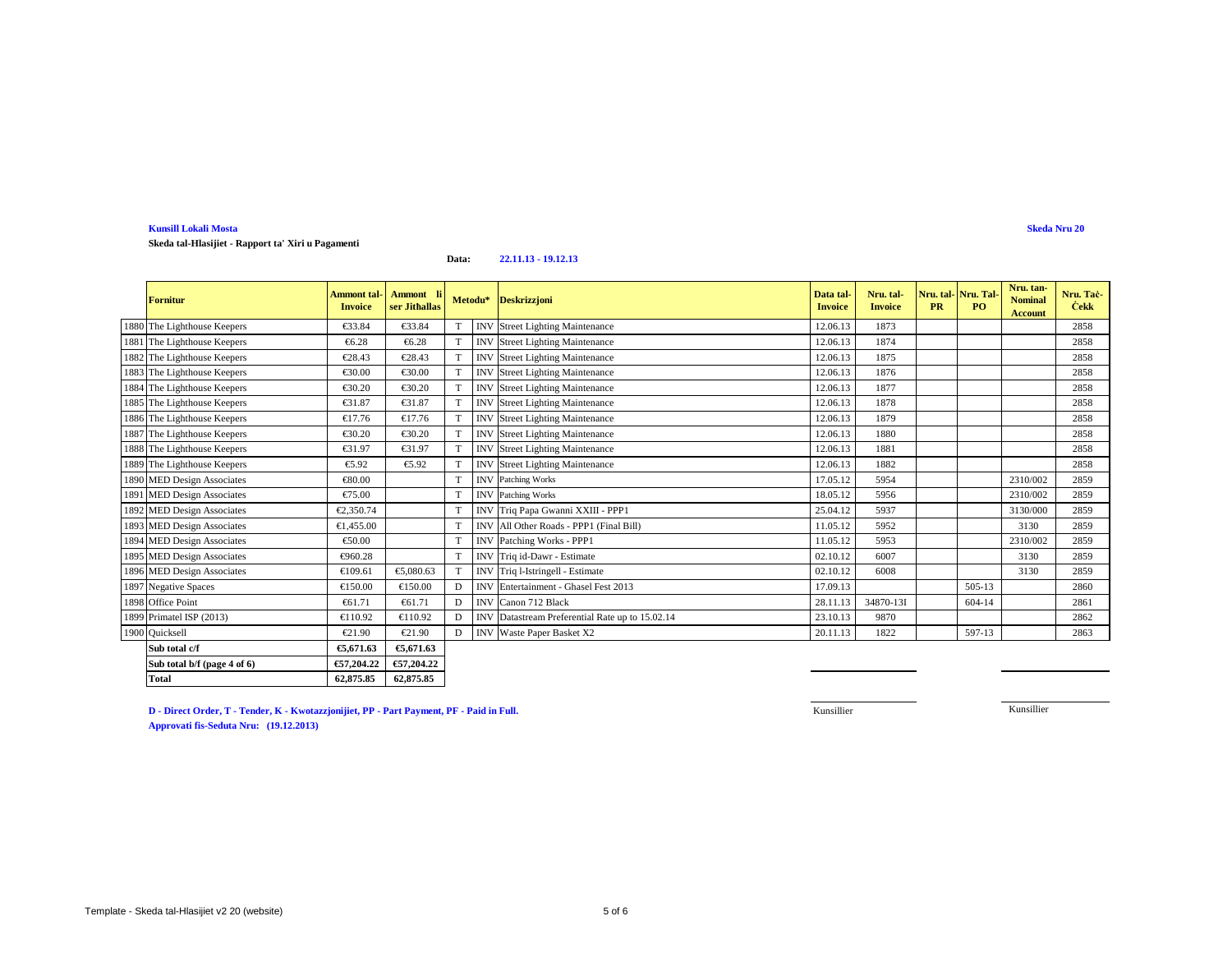**Skeda tal-Hlasijiet - Rapport ta' Xiri u Pagamenti**

#### **Data:22.11.13 - 19.12.13**

| <b>Fornitur</b>             | <b>Ammont tal-</b><br><b>Invoice</b> | Ammont li<br>ser Jithallas |   | Metodu*    | <b>Deskrizzjoni</b>                        | Data tal-<br><b>Invoice</b> | Nru. tal-<br><b>Invoice</b> | <b>PR</b> | Nru. tal-Nru. Tal<br>PO. | Nru. tan-<br><b>Nominal</b><br><b>Account</b> | Nru. Tac-<br><b>Čekk</b> |
|-----------------------------|--------------------------------------|----------------------------|---|------------|--------------------------------------------|-----------------------------|-----------------------------|-----------|--------------------------|-----------------------------------------------|--------------------------|
| 1880 The Lighthouse Keepers | €33.84                               | €33.84                     |   | <b>INV</b> | Street Lighting Maintenance                | 12.06.13                    | 1873                        |           |                          |                                               | 2858                     |
| 1881 The Lighthouse Keepers | €6.28                                | €6.28                      |   | <b>INV</b> | <b>Street Lighing Maintenance</b>          | 12.06.13                    | 1874                        |           |                          |                                               | 2858                     |
| 1882 The Lighthouse Keepers | €28.43                               | €28.43                     | T | <b>INV</b> | Street Lighting Maintenance                | 12.06.13                    | 1875                        |           |                          |                                               | 2858                     |
| 1883 The Lighthouse Keepers | €30.00                               | €30.00                     |   | <b>INV</b> | Street Lighting Maintenance                | 12.06.13                    | 1876                        |           |                          |                                               | 2858                     |
| 1884 The Lighthouse Keepers | €30.20                               | €30.20                     |   | <b>INV</b> | Street Lighting Maintenance                | 12.06.13                    | 1877                        |           |                          |                                               | 2858                     |
| 1885 The Lighthouse Keepers | €31.87                               | €31.87                     |   | <b>INV</b> | Street Lighting Maintenance                | 12.06.13                    | 1878                        |           |                          |                                               | 2858                     |
| 1886 The Lighthouse Keepers | €17.76                               | €17.76                     |   | <b>INV</b> | Street Lighting Maintenance                | 12.06.13                    | 1879                        |           |                          |                                               | 2858                     |
| 1887 The Lighthouse Keepers | €30.20                               | €30.20                     | т | <b>INV</b> | Street Lighting Maintenance                | 12.06.13                    | 1880                        |           |                          |                                               | 2858                     |
| 1888 The Lighthouse Keepers | €31.97                               | €31.97                     |   | <b>INV</b> | Street Lighting Maintenance                | 12.06.13                    | 1881                        |           |                          |                                               | 2858                     |
| 1889 The Lighthouse Keepers | €5.92                                | €5.92                      |   | <b>INV</b> | <b>Street Lighing Maintenance</b>          | 12.06.13                    | 1882                        |           |                          |                                               | 2858                     |
| 1890 MED Design Associates  | €80.00                               |                            | T |            | <b>INV</b> Patching Works                  | 17.05.12                    | 5954                        |           |                          | 2310/002                                      | 2859                     |
| 1891 MED Design Associates  | €75.00                               |                            |   |            | <b>INV</b> Patching Works                  | 18.05.12                    | 5956                        |           |                          | 2310/002                                      | 2859                     |
| 1892 MED Design Associates  | €2.350.74                            |                            |   |            | INV Triq Papa Gwani XXIII - PPP1           | 25.04.12                    | 5937                        |           |                          | 3130/000                                      | 2859                     |
| 1893 MED Design Associates  | €1.455.00                            |                            | T | <b>INV</b> | All Other Roads - PPP1 (Final Bill)        | 11.05.12                    | 5952                        |           |                          | 3130                                          | 2859                     |
| 1894 MED Design Associates  | €50.00                               |                            | T | <b>INV</b> | Patching Works -PPP1                       | 11.05.12                    | 5953                        |           |                          | 2310/002                                      | 2859                     |
| 1895 MED Design Associates  | €960.28                              |                            | T | <b>INV</b> | Triq id-Dawr -Estimate                     | 02.10.12                    | 6007                        |           |                          | 3130                                          | 2859                     |
| 1896 MED Design Associates  | €109.61                              | €5,080.63                  |   | <b>INV</b> | Triq-Istringell - Estimate                 | 02.10.12                    | 6008                        |           |                          | 3130                                          | 2859                     |
| 1897 Negative Spaces        | €150.00                              | €150.00                    | D | <b>INV</b> | Entertainment Ghasel Fest 2013             | 17.09.13                    |                             |           | 505-13                   |                                               | 2860                     |
| 1898 Office Point           | €61.71                               | €61.71                     | D | <b>INV</b> | Canon 712 Black                            | 28.11.13                    | 34870-131                   |           | 604-14                   |                                               | 2861                     |
| 1899 Primatel ISP (2013)    | €110.92                              | €110.92                    | D | <b>INV</b> | DatastreamPreferential Rate up to 15.02.14 | 23.10.13                    | 9870                        |           |                          |                                               | 2862                     |
| 1900 Quicksell              | $\epsilon$ 21.90                     | €21.90                     | D | <b>INV</b> | Waste Paper Basket X2                      | 20.11.13                    | 1822                        |           | 597-13                   |                                               | 2863                     |
| Sub total c/f               | €5,671.63                            | €5,671.63                  |   |            |                                            |                             |                             |           |                          |                                               |                          |
| Sub total b/f (page 4 of 6) | €57,204.22                           | €57,204.22                 |   |            |                                            |                             |                             |           |                          |                                               |                          |
| <b>Total</b>                | 62,875.85                            | 62,875.85                  |   |            |                                            |                             |                             |           |                          |                                               |                          |

**D - Direct Order, T - Tender, K - Kwotazzjonijiet, PP - Part Payment, PF - Paid in Full.Approvati fis-Seduta Nru: (19.12.2013)**

Kunsillier

Kunsillier